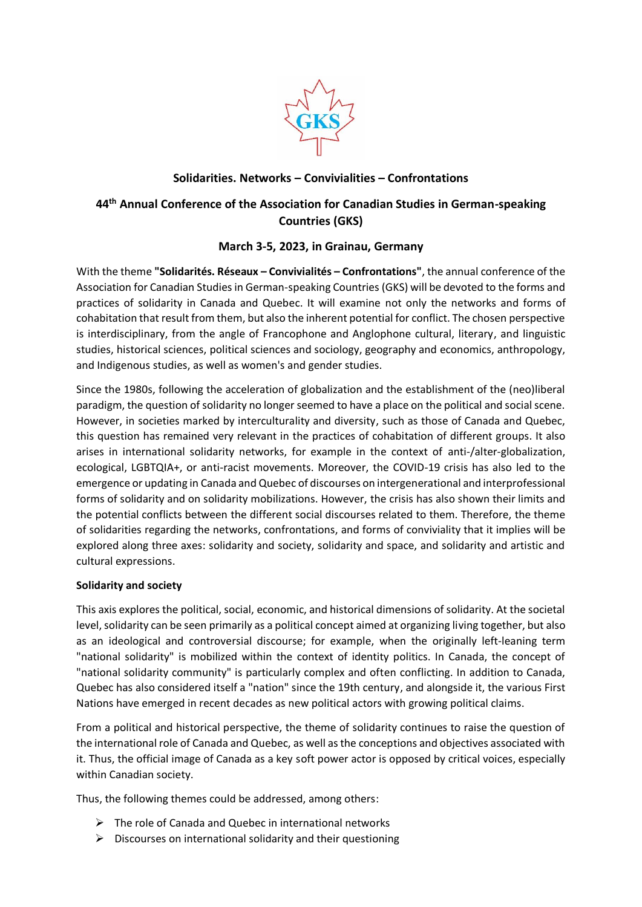

# **Solidarities. Networks – Convivialities – Confrontations**

# **44th Annual Conference of the Association for Canadian Studies in German-speaking Countries (GKS)**

## **March 3-5, 2023, in Grainau, Germany**

With the theme **"Solidarités. Réseaux – Convivialités – Confrontations"**, the annual conference of the Association for Canadian Studies in German-speaking Countries (GKS) will be devoted to the forms and practices of solidarity in Canada and Quebec. It will examine not only the networks and forms of cohabitation that result from them, but also the inherent potential for conflict. The chosen perspective is interdisciplinary, from the angle of Francophone and Anglophone cultural, literary, and linguistic studies, historical sciences, political sciences and sociology, geography and economics, anthropology, and Indigenous studies, as well as women's and gender studies.

Since the 1980s, following the acceleration of globalization and the establishment of the (neo)liberal paradigm, the question of solidarity no longer seemed to have a place on the political and social scene. However, in societies marked by interculturality and diversity, such as those of Canada and Quebec, this question has remained very relevant in the practices of cohabitation of different groups. It also arises in international solidarity networks, for example in the context of anti-/alter-globalization, ecological, LGBTQIA+, or anti-racist movements. Moreover, the COVID-19 crisis has also led to the emergence or updating in Canada and Quebec of discourses on intergenerational and interprofessional forms of solidarity and on solidarity mobilizations. However, the crisis has also shown their limits and the potential conflicts between the different social discourses related to them. Therefore, the theme of solidarities regarding the networks, confrontations, and forms of conviviality that it implies will be explored along three axes: solidarity and society, solidarity and space, and solidarity and artistic and cultural expressions.

## **Solidarity and society**

This axis explores the political, social, economic, and historical dimensions of solidarity. At the societal level, solidarity can be seen primarily as a political concept aimed at organizing living together, but also as an ideological and controversial discourse; for example, when the originally left-leaning term "national solidarity" is mobilized within the context of identity politics. In Canada, the concept of "national solidarity community" is particularly complex and often conflicting. In addition to Canada, Quebec has also considered itself a "nation" since the 19th century, and alongside it, the various First Nations have emerged in recent decades as new political actors with growing political claims.

From a political and historical perspective, the theme of solidarity continues to raise the question of the international role of Canada and Quebec, as well as the conceptions and objectives associated with it. Thus, the official image of Canada as a key soft power actor is opposed by critical voices, especially within Canadian society.

Thus, the following themes could be addressed, among others:

- $\triangleright$  The role of Canada and Quebec in international networks
- $\triangleright$  Discourses on international solidarity and their questioning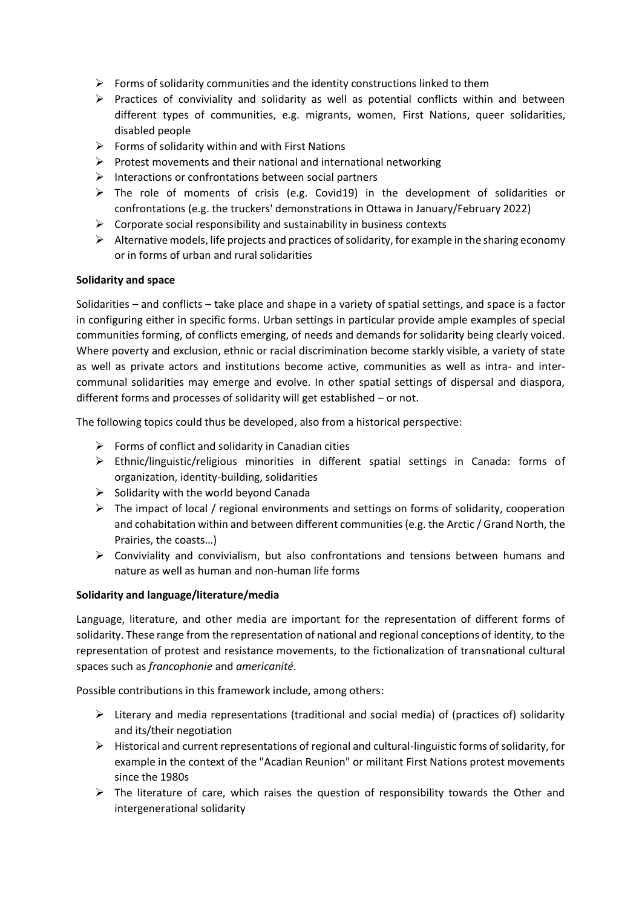- $\triangleright$  Forms of solidarity communities and the identity constructions linked to them
- $\triangleright$  Practices of conviviality and solidarity as well as potential conflicts within and between different types of communities, e.g. migrants, women, First Nations, queer solidarities, disabled people
- $\triangleright$  Forms of solidarity within and with First Nations
- ➢ Protest movements and their national and international networking
- ➢ Interactions or confrontations between social partners
- $\triangleright$  The role of moments of crisis (e.g. Covid19) in the development of solidarities or confrontations (e.g. the truckers' demonstrations in Ottawa in January/February 2022)
- $\triangleright$  Corporate social responsibility and sustainability in business contexts
- $\triangleright$  Alternative models, life projects and practices of solidarity, for example in the sharing economy or in forms of urban and rural solidarities

#### **Solidarity and space**

Solidarities – and conflicts – take place and shape in a variety of spatial settings, and space is a factor in configuring either in specific forms. Urban settings in particular provide ample examples of special communities forming, of conflicts emerging, of needs and demands for solidarity being clearly voiced. Where poverty and exclusion, ethnic or racial discrimination become starkly visible, a variety of state as well as private actors and institutions become active, communities as well as intra- and intercommunal solidarities may emerge and evolve. In other spatial settings of dispersal and diaspora, different forms and processes of solidarity will get established – or not.

The following topics could thus be developed, also from a historical perspective:

- $\triangleright$  Forms of conflict and solidarity in Canadian cities
- ➢ Ethnic/linguistic/religious minorities in different spatial settings in Canada: forms of organization, identity-building, solidarities
- $\triangleright$  Solidarity with the world beyond Canada
- $\triangleright$  The impact of local / regional environments and settings on forms of solidarity, cooperation and cohabitation within and between different communities (e.g. the Arctic / Grand North, the Prairies, the coasts…)
- ➢ Conviviality and convivialism, but also confrontations and tensions between humans and nature as well as human and non-human life forms

#### **Solidarity and language/literature/media**

Language, literature, and other media are important for the representation of different forms of solidarity. These range from the representation of national and regional conceptions of identity, to the representation of protest and resistance movements, to the fictionalization of transnational cultural spaces such as *francophonie* and *americanité*.

Possible contributions in this framework include, among others:

- $\triangleright$  Literary and media representations (traditional and social media) of (practices of) solidarity and its/their negotiation
- $\triangleright$  Historical and current representations of regional and cultural-linguistic forms of solidarity, for example in the context of the "Acadian Reunion" or militant First Nations protest movements since the 1980s
- $\triangleright$  The literature of care, which raises the question of responsibility towards the Other and intergenerational solidarity